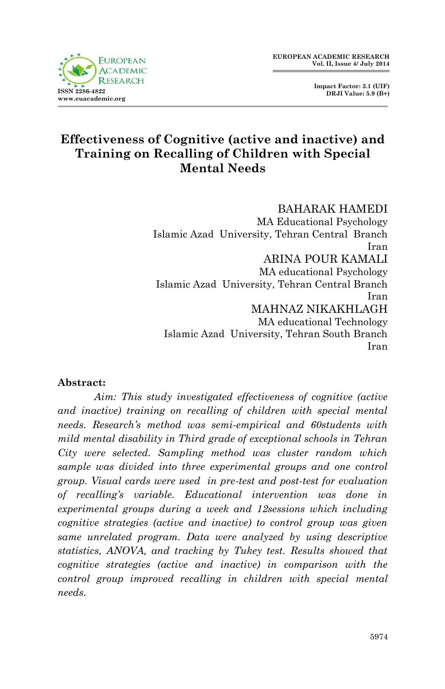

## **Effectiveness of Cognitive (active and inactive) and Training on Recalling of Children with Special Mental Needs**

BAHARAK HAMEDI MA Educational Psychology Islamic Azad University, Tehran Central Branch Iran ARINA POUR KAMALI MA educational Psychology Islamic Azad University, Tehran Central Branch Iran MAHNAZ NIKAKHLAGH MA educational Technology Islamic Azad University, Tehran South Branch Iran

#### **Abstract:**

*Aim: This study investigated effectiveness of cognitive (active and inactive) training on recalling of children with special mental needs. Research's method was semi-empirical and 60students with mild mental disability in Third grade of exceptional schools in Tehran City were selected. Sampling method was cluster random which sample was divided into three experimental groups and one control group. Visual cards were used in pre-test and post-test for evaluation of recalling's variable. Educational intervention was done in experimental groups during a week and 12sessions which including cognitive strategies (active and inactive) to control group was given same unrelated program. Data were analyzed by using descriptive statistics, ANOVA, and tracking by Tukey test. Results showed that cognitive strategies (active and inactive) in comparison with the control group improved recalling in children with special mental needs.*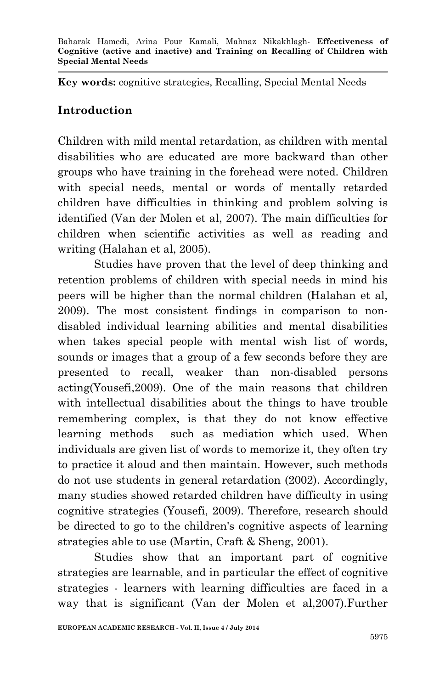**Key words:** cognitive strategies, Recalling, Special Mental Needs

## **Introduction**

Children with mild mental retardation, as children with mental disabilities who are educated are more backward than other groups who have training in the forehead were noted. Children with special needs, mental or words of mentally retarded children have difficulties in thinking and problem solving is identified (Van der Molen et al, 2007). The main difficulties for children when scientific activities as well as reading and writing (Halahan et al, 2005).

Studies have proven that the level of deep thinking and retention problems of children with special needs in mind his peers will be higher than the normal children (Halahan et al, 2009). The most consistent findings in comparison to nondisabled individual learning abilities and mental disabilities when takes special people with mental wish list of words, sounds or images that a group of a few seconds before they are presented to recall, weaker than non-disabled persons acting(Yousefi,2009). One of the main reasons that children with intellectual disabilities about the things to have trouble remembering complex, is that they do not know effective learning methods such as mediation which used. When individuals are given list of words to memorize it, they often try to practice it aloud and then maintain. However, such methods do not use students in general retardation (2002). Accordingly, many studies showed retarded children have difficulty in using cognitive strategies (Yousefi, 2009). Therefore, research should be directed to go to the children's cognitive aspects of learning strategies able to use (Martin, Craft & Sheng, 2001).

Studies show that an important part of cognitive strategies are learnable, and in particular the effect of cognitive strategies - learners with learning difficulties are faced in a way that is significant (Van der Molen et al,2007).Further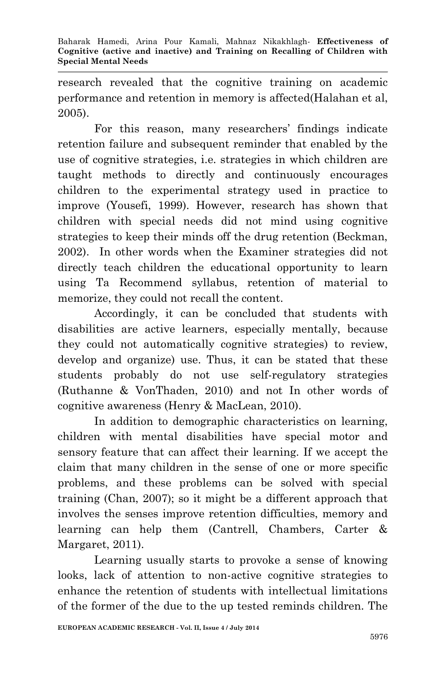research revealed that the cognitive training on academic performance and retention in memory is affected(Halahan et al, 2005).

For this reason, many researchers' findings indicate retention failure and subsequent reminder that enabled by the use of cognitive strategies, i.e. strategies in which children are taught methods to directly and continuously encourages children to the experimental strategy used in practice to improve (Yousefi, 1999). However, research has shown that children with special needs did not mind using cognitive strategies to keep their minds off the drug retention (Beckman, 2002). In other words when the Examiner strategies did not directly teach children the educational opportunity to learn using Ta Recommend syllabus, retention of material to memorize, they could not recall the content.

Accordingly, it can be concluded that students with disabilities are active learners, especially mentally, because they could not automatically cognitive strategies) to review, develop and organize) use. Thus, it can be stated that these students probably do not use self-regulatory strategies (Ruthanne & VonThaden, 2010) and not In other words of cognitive awareness (Henry & MacLean, 2010).

In addition to demographic characteristics on learning, children with mental disabilities have special motor and sensory feature that can affect their learning. If we accept the claim that many children in the sense of one or more specific problems, and these problems can be solved with special training (Chan, 2007); so it might be a different approach that involves the senses improve retention difficulties, memory and learning can help them (Cantrell, Chambers, Carter & Margaret, 2011).

Learning usually starts to provoke a sense of knowing looks, lack of attention to non-active cognitive strategies to enhance the retention of students with intellectual limitations of the former of the due to the up tested reminds children. The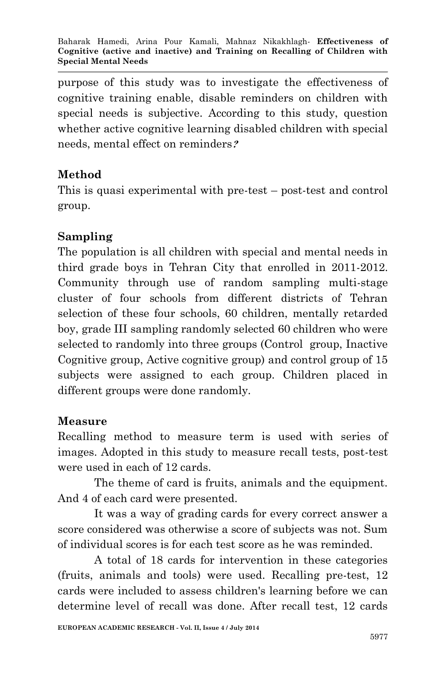purpose of this study was to investigate the effectiveness of cognitive training enable, disable reminders on children with special needs is subjective. According to this study, question whether active cognitive learning disabled children with special needs, mental effect on reminders**?**

# **Method**

This is quasi experimental with pre-test – post-test and control group.

## **Sampling**

The population is all children with special and mental needs in third grade boys in Tehran City that enrolled in 2011-2012. Community through use of random sampling multi-stage cluster of four schools from different districts of Tehran selection of these four schools, 60 children, mentally retarded boy, grade III sampling randomly selected 60 children who were selected to randomly into three groups (Control group, Inactive Cognitive group, Active cognitive group) and control group of 15 subjects were assigned to each group. Children placed in different groups were done randomly.

## **Measure**

Recalling method to measure term is used with series of images. Adopted in this study to measure recall tests, post-test were used in each of 12 cards.

The theme of card is fruits, animals and the equipment. And 4 of each card were presented.

It was a way of grading cards for every correct answer a score considered was otherwise a score of subjects was not. Sum of individual scores is for each test score as he was reminded.

A total of 18 cards for intervention in these categories (fruits, animals and tools) were used. Recalling pre-test, 12 cards were included to assess children's learning before we can determine level of recall was done. After recall test, 12 cards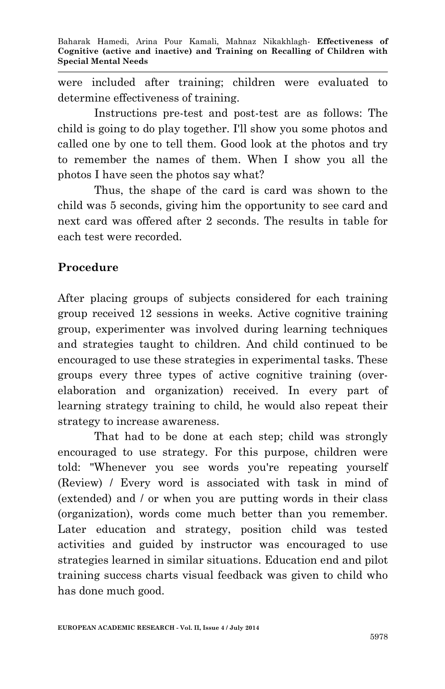were included after training; children were evaluated to determine effectiveness of training.

Instructions pre-test and post-test are as follows: The child is going to do play together. I'll show you some photos and called one by one to tell them. Good look at the photos and try to remember the names of them. When I show you all the photos I have seen the photos say what?

Thus, the shape of the card is card was shown to the child was 5 seconds, giving him the opportunity to see card and next card was offered after 2 seconds. The results in table for each test were recorded.

# **Procedure**

After placing groups of subjects considered for each training group received 12 sessions in weeks. Active cognitive training group, experimenter was involved during learning techniques and strategies taught to children. And child continued to be encouraged to use these strategies in experimental tasks. These groups every three types of active cognitive training (overelaboration and organization) received. In every part of learning strategy training to child, he would also repeat their strategy to increase awareness.

That had to be done at each step; child was strongly encouraged to use strategy. For this purpose, children were told: "Whenever you see words you're repeating yourself (Review) / Every word is associated with task in mind of (extended) and / or when you are putting words in their class (organization), words come much better than you remember. Later education and strategy, position child was tested activities and guided by instructor was encouraged to use strategies learned in similar situations. Education end and pilot training success charts visual feedback was given to child who has done much good.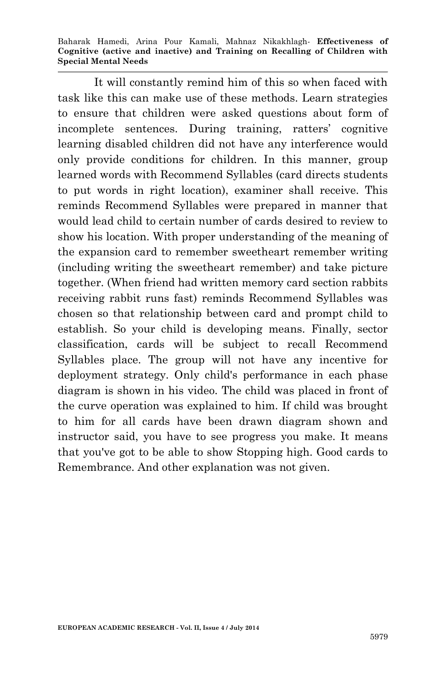Baharak Hamedi, Arina Pour Kamali, Mahnaz Nikakhlagh*-* **Effectiveness of Cognitive (active and inactive) and Training on Recalling of Children with Special Mental Needs**

It will constantly remind him of this so when faced with task like this can make use of these methods. Learn strategies to ensure that children were asked questions about form of incomplete sentences. During training, ratters' cognitive learning disabled children did not have any interference would only provide conditions for children. In this manner, group learned words with Recommend Syllables (card directs students to put words in right location), examiner shall receive. This reminds Recommend Syllables were prepared in manner that would lead child to certain number of cards desired to review to show his location. With proper understanding of the meaning of the expansion card to remember sweetheart remember writing (including writing the sweetheart remember) and take picture together. (When friend had written memory card section rabbits receiving rabbit runs fast) reminds Recommend Syllables was chosen so that relationship between card and prompt child to establish. So your child is developing means. Finally, sector classification, cards will be subject to recall Recommend Syllables place. The group will not have any incentive for deployment strategy. Only child's performance in each phase diagram is shown in his video. The child was placed in front of the curve operation was explained to him. If child was brought to him for all cards have been drawn diagram shown and instructor said, you have to see progress you make. It means that you've got to be able to show Stopping high. Good cards to Remembrance. And other explanation was not given.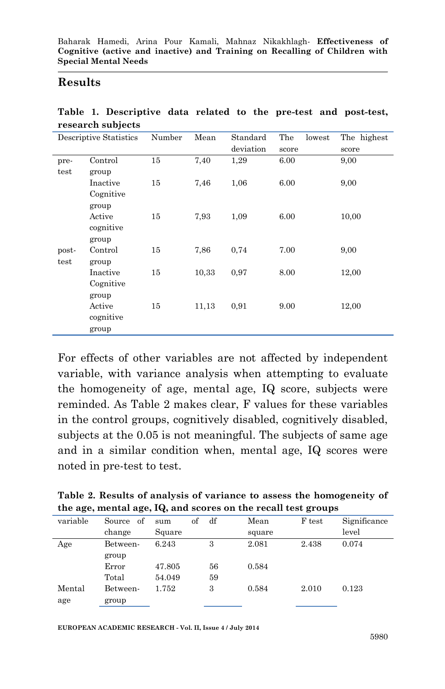#### **Results**

| Descriptive Statistics |           | Number | Mean  | Standard  | The<br>lowest | The highest |
|------------------------|-----------|--------|-------|-----------|---------------|-------------|
|                        |           |        |       | deviation | score         | score       |
| pre-                   | Control   | 15     | 7,40  | 1,29      | 6.00          | 9,00        |
| test                   | group     |        |       |           |               |             |
|                        | Inactive  | 15     | 7.46  | 1,06      | 6.00          | 9,00        |
|                        | Cognitive |        |       |           |               |             |
|                        | group     |        |       |           |               |             |
|                        | Active    | 15     | 7,93  | 1,09      | 6.00          | 10.00       |
|                        | cognitive |        |       |           |               |             |
|                        | group     |        |       |           |               |             |
| post-                  | Control   | 15     | 7,86  | 0,74      | 7.00          | 9,00        |
| test                   | group     |        |       |           |               |             |
|                        | Inactive  | 15     | 10.33 | 0.97      | 8.00          | 12,00       |
|                        | Cognitive |        |       |           |               |             |
|                        | group     |        |       |           |               |             |
|                        | Active    | 15     | 11,13 | 0,91      | 9.00          | 12,00       |
|                        | cognitive |        |       |           |               |             |
|                        | group     |        |       |           |               |             |

**Table 1. Descriptive data related to the pre-test and post-test, research subjects**

For effects of other variables are not affected by independent variable, with variance analysis when attempting to evaluate the homogeneity of age, mental age, IQ score, subjects were reminded. As Table 2 makes clear, F values for these variables in the control groups, cognitively disabled, cognitively disabled, subjects at the 0.05 is not meaningful. The subjects of same age and in a similar condition when, mental age, IQ scores were noted in pre-test to test.

| Table 2. Results of analysis of variance to assess the homogeneity of |  |
|-----------------------------------------------------------------------|--|
| the age, mental age, IQ, and scores on the recall test groups         |  |

| variable | of<br>Source | sum    | of | df | Mean   | F test | Significance |
|----------|--------------|--------|----|----|--------|--------|--------------|
|          | change       | Square |    |    | square |        | level        |
| Age      | Between-     | 6.243  |    | 3  | 2.081  | 2.438  | 0.074        |
|          | group        |        |    |    |        |        |              |
|          | Error        | 47.805 |    | 56 | 0.584  |        |              |
|          | Total        | 54.049 |    | 59 |        |        |              |
| Mental   | Between-     | 1.752  |    | 3  | 0.584  | 2.010  | 0.123        |
| age      | group        |        |    |    |        |        |              |
|          |              |        |    |    |        |        |              |

**EUROPEAN ACADEMIC RESEARCH - Vol. II, Issue 4 / July 2014**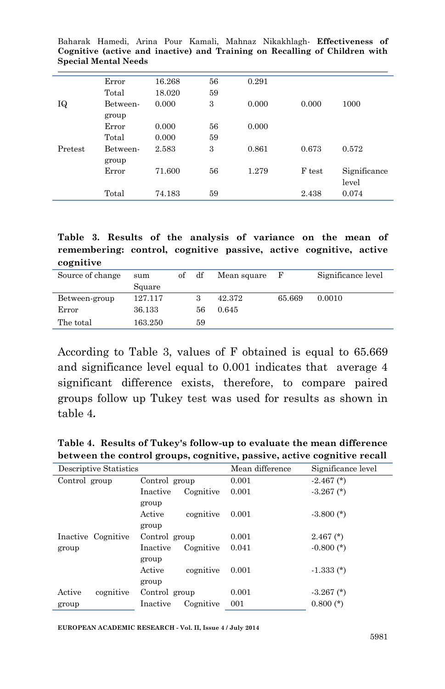|         | Error    | 16.268 | 56 | 0.291 |        |              |
|---------|----------|--------|----|-------|--------|--------------|
|         | Total    | 18.020 | 59 |       |        |              |
| ΙQ      | Between- | 0.000  | 3  | 0.000 | 0.000  | 1000         |
|         | group    |        |    |       |        |              |
|         | Error    | 0.000  | 56 | 0.000 |        |              |
|         | Total    | 0.000  | 59 |       |        |              |
| Pretest | Between- | 2.583  | 3  | 0.861 | 0.673  | 0.572        |
|         | group    |        |    |       |        |              |
|         | Error    | 71.600 | 56 | 1.279 | F test | Significance |
|         |          |        |    |       |        | level        |
|         | Total    | 74.183 | 59 |       | 2.438  | 0.074        |

Baharak Hamedi, Arina Pour Kamali, Mahnaz Nikakhlagh*-* **Effectiveness of Cognitive (active and inactive) and Training on Recalling of Children with Special Mental Needs**

**Table 3. Results of the analysis of variance on the mean of remembering: control, cognitive passive, active cognitive, active cognitive**

| Source of change | sum     | of | df | Mean square | н,     | Significance level |
|------------------|---------|----|----|-------------|--------|--------------------|
|                  | Square  |    |    |             |        |                    |
| Between-group    | 127.117 |    | 3  | 42.372      | 65.669 | 0.0010             |
| Error            | 36.133  |    | 56 | 0.645       |        |                    |
| The total        | 163.250 |    | 59 |             |        |                    |

According to Table 3, values of F obtained is equal to 65.669 and significance level equal to 0.001 indicates that average 4 significant difference exists, therefore, to compare paired groups follow up Tukey test was used for results as shown in table 4**.**

| between the control groups, cognitive, passive, active cognitive recall |                                |                 |                    |  |  |  |  |  |  |
|-------------------------------------------------------------------------|--------------------------------|-----------------|--------------------|--|--|--|--|--|--|
| Descriptive Statistics                                                  |                                | Mean difference | Significance level |  |  |  |  |  |  |
| Control group                                                           | Control group                  | 0.001           | $-2.467$ (*)       |  |  |  |  |  |  |
|                                                                         | Inactive<br>Cognitive<br>group | 0.001           | $-3.267$ (*)       |  |  |  |  |  |  |
|                                                                         | Active<br>cognitive<br>group   | 0.001           | $-3.800$ (*)       |  |  |  |  |  |  |
| Inactive Cognitive                                                      | Control group                  | 0.001           | $2.467$ $(*)$      |  |  |  |  |  |  |
| group                                                                   | Cognitive<br>Inactive<br>group | 0.041           | $-0.800$ (*)       |  |  |  |  |  |  |
|                                                                         | cognitive<br>Active<br>group   | 0.001           | $-1.333(*)$        |  |  |  |  |  |  |
| Active<br>cognitive                                                     | Control group                  | 0.001           | $-3.267$ (*)       |  |  |  |  |  |  |
| group                                                                   | Inactive<br>Cognitive          | 001             | $0.800$ (*)        |  |  |  |  |  |  |

**Table 4. Results of Tukey's follow-up to evaluate the mean difference between the control groups, cognitive, passive, active cognitive recall**

**EUROPEAN ACADEMIC RESEARCH - Vol. II, Issue 4 / July 2014**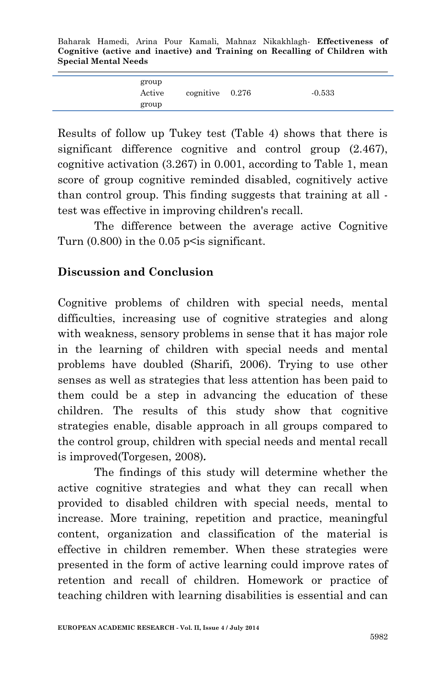Baharak Hamedi, Arina Pour Kamali, Mahnaz Nikakhlagh*-* **Effectiveness of Cognitive (active and inactive) and Training on Recalling of Children with Special Mental Needs**

| group<br>Active | cognitive $0.276$ | $-0.533$ |
|-----------------|-------------------|----------|
| group           |                   |          |

Results of follow up Tukey test (Table 4) shows that there is significant difference cognitive and control group (2.467), cognitive activation (3.267) in 0.001, according to Table 1, mean score of group cognitive reminded disabled, cognitively active than control group. This finding suggests that training at all test was effective in improving children's recall.

The difference between the average active Cognitive Turn  $(0.800)$  in the  $0.05$  p $\leq$  is significant.

#### **Discussion and Conclusion**

Cognitive problems of children with special needs, mental difficulties, increasing use of cognitive strategies and along with weakness, sensory problems in sense that it has major role in the learning of children with special needs and mental problems have doubled (Sharifi, 2006). Trying to use other senses as well as strategies that less attention has been paid to them could be a step in advancing the education of these children. The results of this study show that cognitive strategies enable, disable approach in all groups compared to the control group, children with special needs and mental recall is improved(Torgesen, 2008)**.**

The findings of this study will determine whether the active cognitive strategies and what they can recall when provided to disabled children with special needs, mental to increase. More training, repetition and practice, meaningful content, organization and classification of the material is effective in children remember. When these strategies were presented in the form of active learning could improve rates of retention and recall of children. Homework or practice of teaching children with learning disabilities is essential and can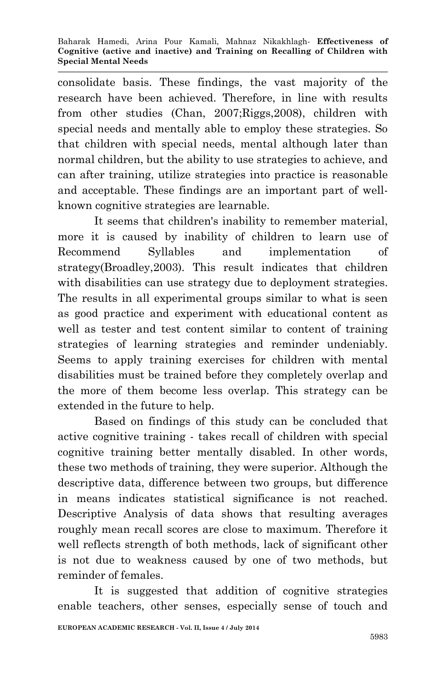consolidate basis. These findings, the vast majority of the research have been achieved. Therefore, in line with results from other studies (Chan, 2007;Riggs,2008), children with special needs and mentally able to employ these strategies. So that children with special needs, mental although later than normal children, but the ability to use strategies to achieve, and can after training, utilize strategies into practice is reasonable and acceptable. These findings are an important part of wellknown cognitive strategies are learnable.

It seems that children's inability to remember material, more it is caused by inability of children to learn use of Recommend Syllables and implementation of strategy(Broadley,2003). This result indicates that children with disabilities can use strategy due to deployment strategies. The results in all experimental groups similar to what is seen as good practice and experiment with educational content as well as tester and test content similar to content of training strategies of learning strategies and reminder undeniably. Seems to apply training exercises for children with mental disabilities must be trained before they completely overlap and the more of them become less overlap. This strategy can be extended in the future to help.

Based on findings of this study can be concluded that active cognitive training - takes recall of children with special cognitive training better mentally disabled. In other words, these two methods of training, they were superior. Although the descriptive data, difference between two groups, but difference in means indicates statistical significance is not reached. Descriptive Analysis of data shows that resulting averages roughly mean recall scores are close to maximum. Therefore it well reflects strength of both methods, lack of significant other is not due to weakness caused by one of two methods, but reminder of females.

It is suggested that addition of cognitive strategies enable teachers, other senses, especially sense of touch and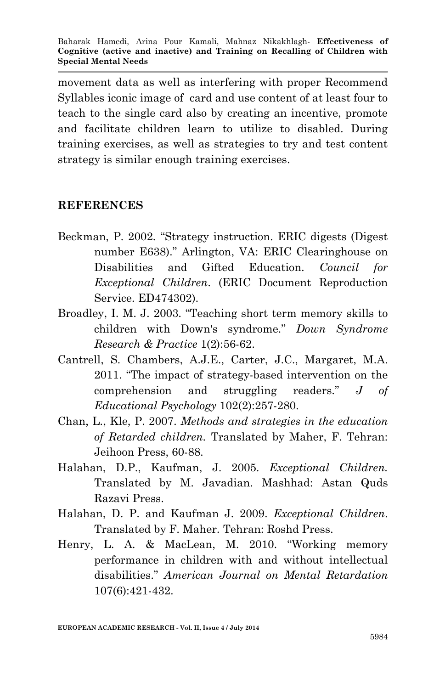movement data as well as interfering with proper Recommend Syllables iconic image of card and use content of at least four to teach to the single card also by creating an incentive, promote and facilitate children learn to utilize to disabled. During training exercises, as well as strategies to try and test content strategy is similar enough training exercises.

#### **REFERENCES**

- Beckman, P. 2002. "Strategy instruction. ERIC digests (Digest number E638)." Arlington, VA: ERIC Clearinghouse on Disabilities and Gifted Education. *Council for Exceptional Children*. (ERIC Document Reproduction Service. ED474302).
- Broadley, I. M. J. 2003. "Teaching short term memory skills to children with Down's syndrome." *Down Syndrome Research & Practice* 1(2):56-62.
- Cantrell, S. Chambers, A.J.E., Carter, J.C., Margaret, M.A. 2011. "The impact of strategy-based intervention on the comprehension and struggling readers." *J of Educational Psychology* 102(2):257-280.
- Chan, L., Kle, P. 2007. *Methods and strategies in the education of Retarded children.* Translated by Maher, F. Tehran: Jeihoon Press, 60-88.
- Halahan, D.P., Kaufman, J. 2005. *Exceptional Children.* Translated by M. Javadian. Mashhad: Astan Quds Razavi Press.
- Halahan, D. P. and Kaufman J. 2009. *Exceptional Children*. Translated by F. Maher. Tehran: Roshd Press.
- Henry, L. A. & MacLean, M. 2010. "Working memory performance in children with and without intellectual disabilities." *American Journal on Mental Retardation* 107(6):421-432.